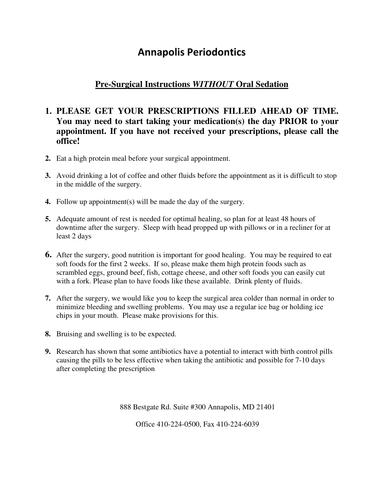## **Annapolis Periodontics**

## **Pre-Surgical Instructions** *WITHOUT* **Oral Sedation**

## **1. PLEASE GET YOUR PRESCRIPTIONS FILLED AHEAD OF TIME. You may need to start taking your medication(s) the day PRIOR to your appointment. If you have not received your prescriptions, please call the office!**

- **2.** Eat a high protein meal before your surgical appointment.
- **3.** Avoid drinking a lot of coffee and other fluids before the appointment as it is difficult to stop in the middle of the surgery.
- **4.** Follow up appointment(s) will be made the day of the surgery.
- **5.** Adequate amount of rest is needed for optimal healing, so plan for at least 48 hours of downtime after the surgery. Sleep with head propped up with pillows or in a recliner for at least 2 days
- **6.** After the surgery, good nutrition is important for good healing. You may be required to eat soft foods for the first 2 weeks. If so, please make them high protein foods such as scrambled eggs, ground beef, fish, cottage cheese, and other soft foods you can easily cut with a fork. Please plan to have foods like these available. Drink plenty of fluids.
- **7.** After the surgery, we would like you to keep the surgical area colder than normal in order to minimize bleeding and swelling problems. You may use a regular ice bag or holding ice chips in your mouth. Please make provisions for this.
- **8.** Bruising and swelling is to be expected.
- **9.** Research has shown that some antibiotics have a potential to interact with birth control pills causing the pills to be less effective when taking the antibiotic and possible for 7-10 days after completing the prescription

888 Bestgate Rd. Suite #300 Annapolis, MD 21401

Office 410-224-0500, Fax 410-224-6039